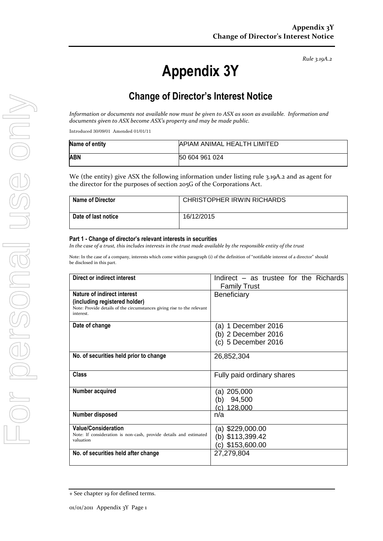*Rule 3.19A.2*

# **Appendix 3Y**

# **Change of Director's Interest Notice**

*Information or documents not available now must be given to ASX as soon as available. Information and documents given to ASX become ASX's property and may be made public.*

Introduced 30/09/01 Amended 01/01/11

| Name of entity | <b>APIAM ANIMAL HEALTH LIMITED</b> |
|----------------|------------------------------------|
| ABN            | 50 604 961 024                     |

We (the entity) give ASX the following information under listing rule 3.19A.2 and as agent for the director for the purposes of section 205G of the Corporations Act.

| <b>Name of Director</b> | <b>CHRISTOPHER IRWIN RICHARDS</b> |
|-------------------------|-----------------------------------|
| Date of last notice     | 16/12/2015                        |

#### **Part 1 - Change of director's relevant interests in securities**

*In the case of a trust, this includes interests in the trust made available by the responsible entity of the trust*

Note: In the case of a company, interests which come within paragraph (i) of the definition of "notifiable interest of a director" should be disclosed in this part.

| Direct or indirect interest                                                                                                                         | Indirect – as trustee for the Richards<br><b>Family Trust</b>     |  |
|-----------------------------------------------------------------------------------------------------------------------------------------------------|-------------------------------------------------------------------|--|
| Nature of indirect interest<br>(including registered holder)<br>Note: Provide details of the circumstances giving rise to the relevant<br>interest. | <b>Beneficiary</b>                                                |  |
| Date of change                                                                                                                                      | (a) 1 December 2016<br>(b) 2 December 2016<br>(c) 5 December 2016 |  |
| No. of securities held prior to change                                                                                                              | 26,852,304                                                        |  |
| Class                                                                                                                                               | Fully paid ordinary shares                                        |  |
| Number acquired                                                                                                                                     | (a) 205,000<br>94,500<br>(b)<br>128,000<br>$\mathcal{C}$          |  |
| Number disposed                                                                                                                                     | n/a                                                               |  |
| <b>Value/Consideration</b><br>Note: If consideration is non-cash, provide details and estimated<br>valuation                                        | (a) \$229,000.00<br>(b) \$113,399.42<br>$(c)$ \$153,600.00        |  |
| No. of securities held after change                                                                                                                 | 27,279,804                                                        |  |

<sup>+</sup> See chapter 19 for defined terms.